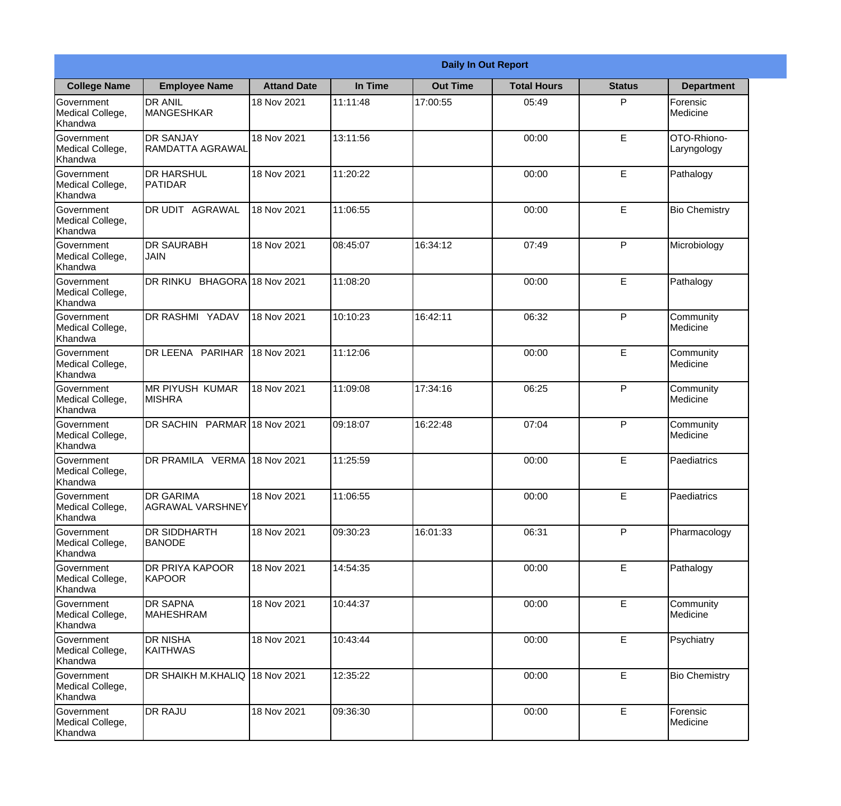|                                                  | <b>Daily In Out Report</b>              |                    |          |                 |                    |               |                            |  |
|--------------------------------------------------|-----------------------------------------|--------------------|----------|-----------------|--------------------|---------------|----------------------------|--|
| <b>College Name</b>                              | <b>Employee Name</b>                    | <b>Attand Date</b> | In Time  | <b>Out Time</b> | <b>Total Hours</b> | <b>Status</b> | <b>Department</b>          |  |
| Government<br>Medical College,<br>Khandwa        | <b>DR ANIL</b><br><b>MANGESHKAR</b>     | 18 Nov 2021        | 11:11:48 | 17:00:55        | 05:49              | P             | Forensic<br>Medicine       |  |
| Government<br>Medical College,<br>Khandwa        | <b>DR SANJAY</b><br>RAMDATTA AGRAWAL    | 18 Nov 2021        | 13:11:56 |                 | 00:00              | E             | OTO-Rhiono-<br>Laryngology |  |
| <b>Government</b><br>Medical College,<br>Khandwa | <b>I</b> DR HARSHUL<br>PATIDAR          | 18 Nov 2021        | 11:20:22 |                 | 00:00              | E             | Pathalogy                  |  |
| Government<br>Medical College,<br>Khandwa        | DR UDIT AGRAWAL                         | 18 Nov 2021        | 11:06:55 |                 | 00:00              | $\mathsf E$   | <b>Bio Chemistry</b>       |  |
| Government<br>Medical College,<br>Khandwa        | <b>DR SAURABH</b><br><b>JAIN</b>        | 18 Nov 2021        | 08:45:07 | 16:34:12        | 07:49              | P             | Microbiology               |  |
| Government<br>Medical College,<br>Khandwa        | DR RINKU BHAGORA 18 Nov 2021            |                    | 11:08:20 |                 | 00:00              | E             | Pathalogy                  |  |
| Government<br>Medical College,<br>Khandwa        | DR RASHMI YADAV                         | 18 Nov 2021        | 10:10:23 | 16:42:11        | 06:32              | P             | Community<br>Medicine      |  |
| Government<br>Medical College,<br>Khandwa        | DR LEENA PARIHAR                        | 18 Nov 2021        | 11:12:06 |                 | 00:00              | E             | Community<br>Medicine      |  |
| Government<br>Medical College,<br>Khandwa        | <b>MR PIYUSH KUMAR</b><br><b>MISHRA</b> | 18 Nov 2021        | 11:09:08 | 17:34:16        | 06:25              | P             | Community<br>Medicine      |  |
| Government<br>Medical College,<br>Khandwa        | DR SACHIN PARMAR 18 Nov 2021            |                    | 09:18:07 | 16:22:48        | 07:04              | P             | Community<br>Medicine      |  |
| Government<br>Medical College,<br>Khandwa        | DR PRAMILA VERMA 18 Nov 2021            |                    | 11:25:59 |                 | 00:00              | E             | Paediatrics                |  |
| Government<br>Medical College,<br>Khandwa        | <b>IDR GARIMA</b><br>AGRAWAL VARSHNEY   | 18 Nov 2021        | 11:06:55 |                 | 00:00              | $\mathsf E$   | Paediatrics                |  |
| Government<br>Medical College,<br>Khandwa        | DR SIDDHARTH<br><b>BANODE</b>           | 18 Nov 2021        | 09:30:23 | 16:01:33        | 06:31              | P             | Pharmacology               |  |
| Government<br>Medical College,<br>Khandwa        | <b>DR PRIYA KAPOOR</b><br><b>KAPOOR</b> | 18 Nov 2021        | 14:54:35 |                 | 00:00              | $\mathsf E$   | Pathalogy                  |  |
| Government<br>Medical College,<br>Khandwa        | <b>DR SAPNA</b><br><b>MAHESHRAM</b>     | 18 Nov 2021        | 10:44:37 |                 | 00:00              | E             | Community<br>Medicine      |  |
| Government<br>Medical College,<br>Khandwa        | <b>DR NISHA</b><br>KAITHWAS             | 18 Nov 2021        | 10:43:44 |                 | 00:00              | $\mathsf E$   | Psychiatry                 |  |
| Government<br>Medical College,<br>Khandwa        | DR SHAIKH M.KHALIQ 18 Nov 2021          |                    | 12:35:22 |                 | 00:00              | $\mathsf E$   | <b>Bio Chemistry</b>       |  |
| Government<br>Medical College,<br>Khandwa        | <b>DR RAJU</b>                          | 18 Nov 2021        | 09:36:30 |                 | 00:00              | $\mathsf E$   | Forensic<br>Medicine       |  |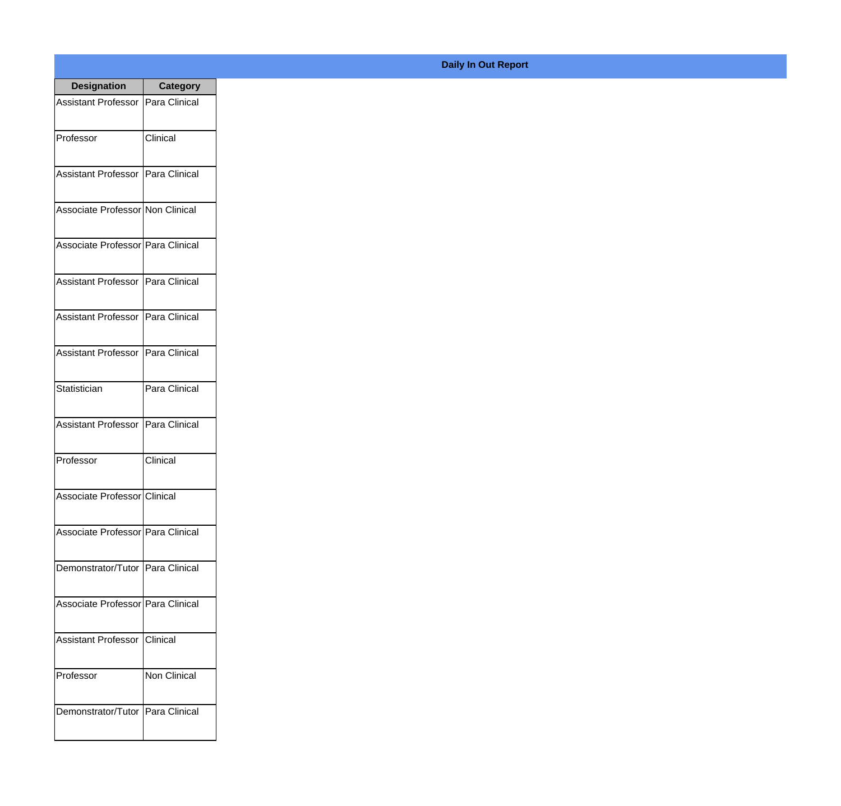| <b>Designation</b>                  | <b>Category</b> |
|-------------------------------------|-----------------|
| Assistant Professor   Para Clinical |                 |
| Professor                           | Clinical        |
| Assistant Professor Para Clinical   |                 |
| Associate Professor Non Clinical    |                 |
| Associate Professor   Para Clinical |                 |
| Assistant Professor   Para Clinical |                 |
| Assistant Professor   Para Clinical |                 |
| Assistant Professor   Para Clinical |                 |
| Statistician                        | Para Clinical   |
| <b>Assistant Professor</b>          | Para Clinical   |
| Professor                           | Clinical        |
| Associate Professor Clinical        |                 |
| Associate Professor Para Clinical   |                 |
| Demonstrator/Tutor   Para Clinical  |                 |
| Associate Professor   Para Clinical |                 |
| <b>Assistant Professor</b>          | Clinical        |
| Professor                           | Non Clinical    |
| Demonstrator/Tutor   Para Clinical  |                 |

## **Daily In Out Report**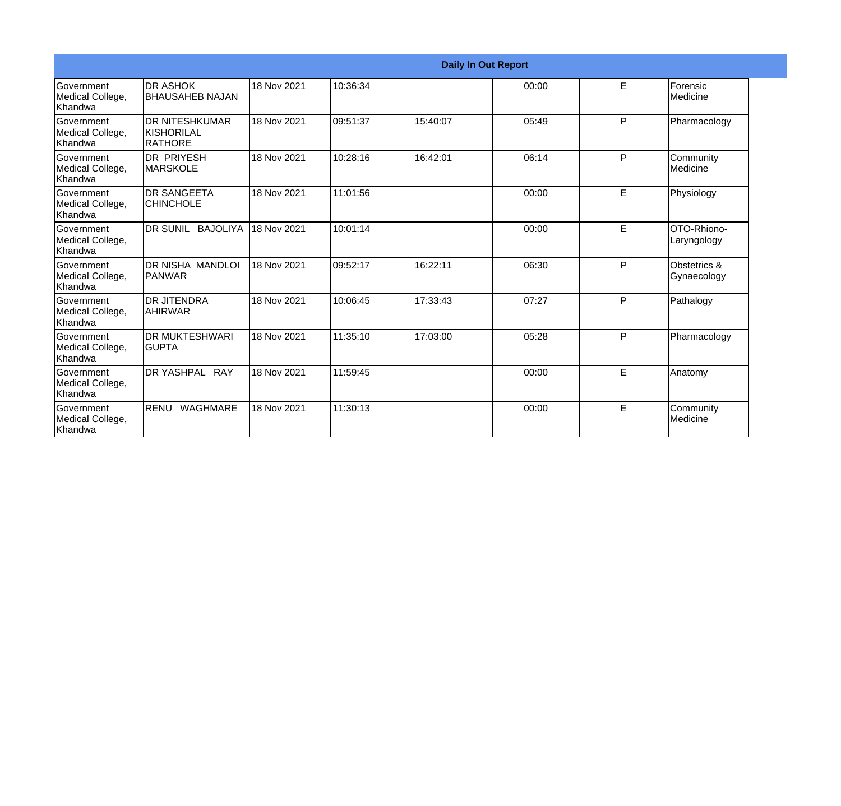|                                           | <b>Daily In Out Report</b>                            |             |          |          |       |    |                             |  |
|-------------------------------------------|-------------------------------------------------------|-------------|----------|----------|-------|----|-----------------------------|--|
| Government<br>Medical College,<br>Khandwa | <b>DR ASHOK</b><br><b>BHAUSAHEB NAJAN</b>             | 18 Nov 2021 | 10:36:34 |          | 00:00 | E  | Forensic<br>Medicine        |  |
| Government<br>Medical College,<br>Khandwa | <b>DR NITESHKUMAR</b><br>KISHORILAL<br><b>RATHORE</b> | 18 Nov 2021 | 09:51:37 | 15:40:07 | 05:49 | P  | Pharmacology                |  |
| Government<br>Medical College,<br>Khandwa | <b>DR PRIYESH</b><br><b>MARSKOLE</b>                  | 18 Nov 2021 | 10:28:16 | 16:42:01 | 06:14 | P  | Community<br>Medicine       |  |
| Government<br>Medical College,<br>Khandwa | <b>DR SANGEETA</b><br><b>CHINCHOLE</b>                | 18 Nov 2021 | 11:01:56 |          | 00:00 | E  | Physiology                  |  |
| Government<br>Medical College,<br>Khandwa | DR SUNIL BAJOLIYA                                     | 18 Nov 2021 | 10:01:14 |          | 00:00 | E  | OTO-Rhiono-<br>Laryngology  |  |
| Government<br>Medical College,<br>Khandwa | <b>DR NISHA MANDLOI</b><br><b>IPANWAR</b>             | 18 Nov 2021 | 09:52:17 | 16:22:11 | 06:30 | P  | Obstetrics &<br>Gynaecology |  |
| Government<br>Medical College,<br>Khandwa | <b>DR JITENDRA</b><br><b>AHIRWAR</b>                  | 18 Nov 2021 | 10:06:45 | 17:33:43 | 07:27 | P  | Pathalogy                   |  |
| Government<br>Medical College,<br>Khandwa | <b>DR MUKTESHWARI</b><br><b>GUPTA</b>                 | 18 Nov 2021 | 11:35:10 | 17:03:00 | 05:28 | P  | Pharmacology                |  |
| Government<br>Medical College,<br>Khandwa | DR YASHPAL RAY                                        | 18 Nov 2021 | 11:59:45 |          | 00:00 | E. | Anatomy                     |  |
| Government<br>Medical College,<br>Khandwa | RENU WAGHMARE                                         | 18 Nov 2021 | 11:30:13 |          | 00:00 | E  | Community<br>Medicine       |  |